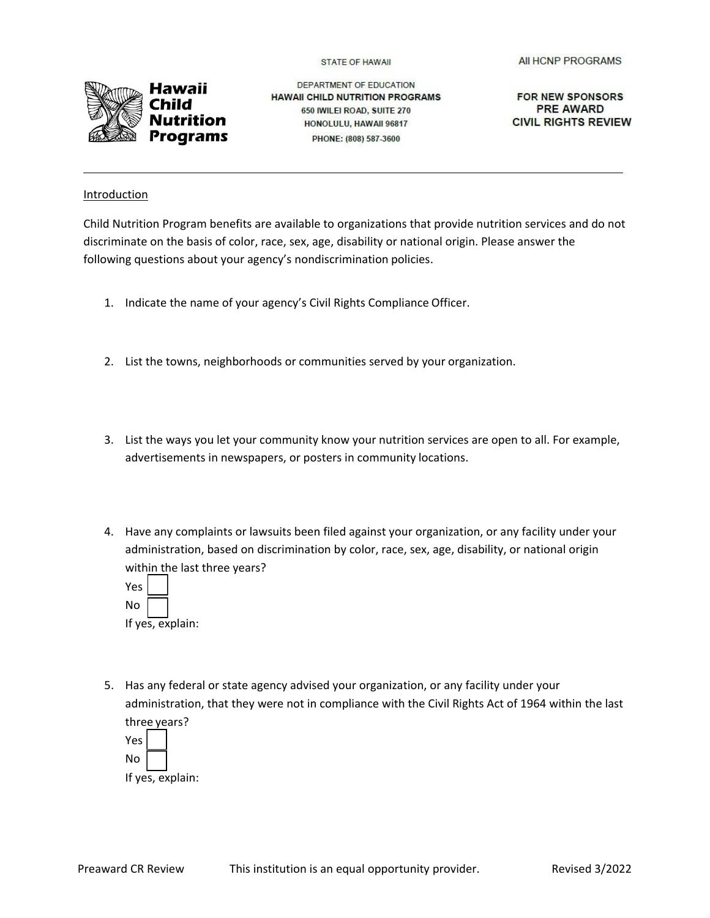**STATE OF HAWAII** 



DEPARTMENT OF EDUCATION **HAWAII CHILD NUTRITION PROGRAMS** 650 IWILEI ROAD, SUITE 270 HONOLULU, HAWAII 96817 PHONE: (808) 587-3600

FOR NEW SPONSORS **PRE AWARD CIVIL RIGHTS REVIEW** 

## Introduction

Child Nutrition Program benefits are available to organizations that provide nutrition services and do not discriminate on the basis of color, race, sex, age, disability or national origin. Please answer the following questions about your agency's nondiscrimination policies.

- 1. Indicate the name of your agency's Civil Rights Compliance Officer.
- 2. List the towns, neighborhoods or communities served by your organization.
- 3. List the ways you let your community know your nutrition services are open to all. For example, advertisements in newspapers, or posters in community locations.
- 4. Have any complaints or lawsuits been filed against your organization, or any facility under your administration, based on discrimination by color, race, sex, age, disability, or national origin within the last three years?
	- Yes No If yes, explain:
- 5. Has any federal or state agency advised your organization, or any facility under your administration, that they were not in compliance with the Civil Rights Act of 1964 within the last three years?

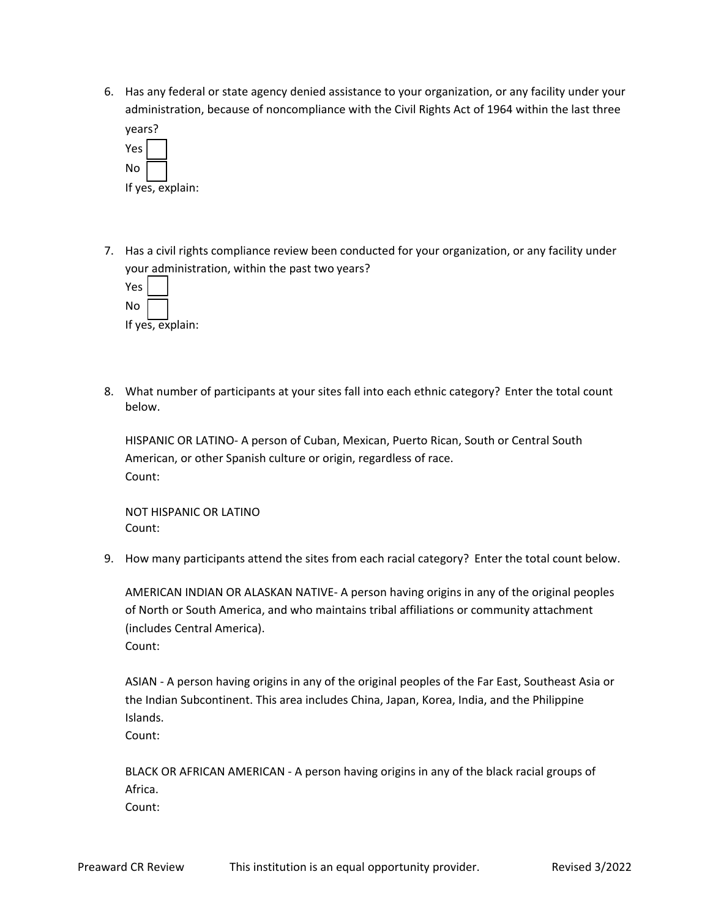6. Has any federal or state agency denied assistance to your organization, or any facility under your administration, because of noncompliance with the Civil Rights Act of 1964 within the last three



7. Has a civil rights compliance review been conducted for your organization, or any facility under your administration, within the past two years?

| Yes              |  |  |
|------------------|--|--|
| No               |  |  |
| If yes, explain: |  |  |

8. What number of participants at your sites fall into each ethnic category? Enter the total count below.

HISPANIC OR LATINO- A person of Cuban, Mexican, Puerto Rican, South or Central South American, or other Spanish culture or origin, regardless of race. Count:

NOT HISPANIC OR LATINO Count:

9. How many participants attend the sites from each racial category? Enter the total count below.

AMERICAN INDIAN OR ALASKAN NATIVE- A person having origins in any of the original peoples of North or South America, and who maintains tribal affiliations or community attachment (includes Central America). Count:

ASIAN - A person having origins in any of the original peoples of the Far East, Southeast Asia or the Indian Subcontinent. This area includes China, Japan, Korea, India, and the Philippine Islands.

Count:

BLACK OR AFRICAN AMERICAN - A person having origins in any of the black racial groups of Africa. Count: